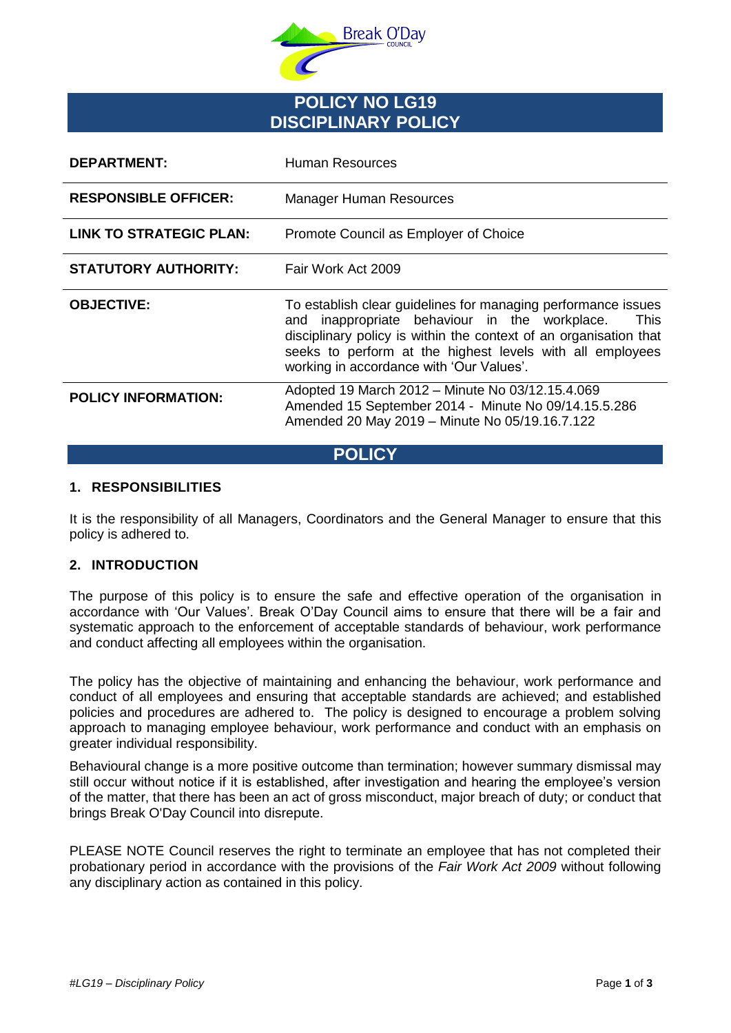

# **POLICY NO LG19 DISCIPLINARY POLICY**

| <b>DEPARTMENT:</b>          | Human Resources                                                                                                                                                                                                                                                                                         |
|-----------------------------|---------------------------------------------------------------------------------------------------------------------------------------------------------------------------------------------------------------------------------------------------------------------------------------------------------|
| <b>RESPONSIBLE OFFICER:</b> | Manager Human Resources                                                                                                                                                                                                                                                                                 |
| LINK TO STRATEGIC PLAN:     | Promote Council as Employer of Choice                                                                                                                                                                                                                                                                   |
| <b>STATUTORY AUTHORITY:</b> | Fair Work Act 2009                                                                                                                                                                                                                                                                                      |
| <b>OBJECTIVE:</b>           | To establish clear guidelines for managing performance issues<br>inappropriate behaviour in the workplace.<br>This<br>and<br>disciplinary policy is within the context of an organisation that<br>seeks to perform at the highest levels with all employees<br>working in accordance with 'Our Values'. |
| <b>POLICY INFORMATION:</b>  | Adopted 19 March 2012 - Minute No 03/12.15.4.069<br>Amended 15 September 2014 - Minute No 09/14.15.5.286<br>Amended 20 May 2019 - Minute No 05/19.16.7.122                                                                                                                                              |

**POLICY**

## **1. RESPONSIBILITIES**

It is the responsibility of all Managers, Coordinators and the General Manager to ensure that this policy is adhered to.

#### **2. INTRODUCTION**

The purpose of this policy is to ensure the safe and effective operation of the organisation in accordance with 'Our Values'. Break O'Day Council aims to ensure that there will be a fair and systematic approach to the enforcement of acceptable standards of behaviour, work performance and conduct affecting all employees within the organisation.

The policy has the objective of maintaining and enhancing the behaviour, work performance and conduct of all employees and ensuring that acceptable standards are achieved; and established policies and procedures are adhered to. The policy is designed to encourage a problem solving approach to managing employee behaviour, work performance and conduct with an emphasis on greater individual responsibility.

Behavioural change is a more positive outcome than termination; however summary dismissal may still occur without notice if it is established, after investigation and hearing the employee's version of the matter, that there has been an act of gross misconduct, major breach of duty; or conduct that brings Break O'Day Council into disrepute.

PLEASE NOTE Council reserves the right to terminate an employee that has not completed their probationary period in accordance with the provisions of the *Fair Work Act 2009* without following any disciplinary action as contained in this policy.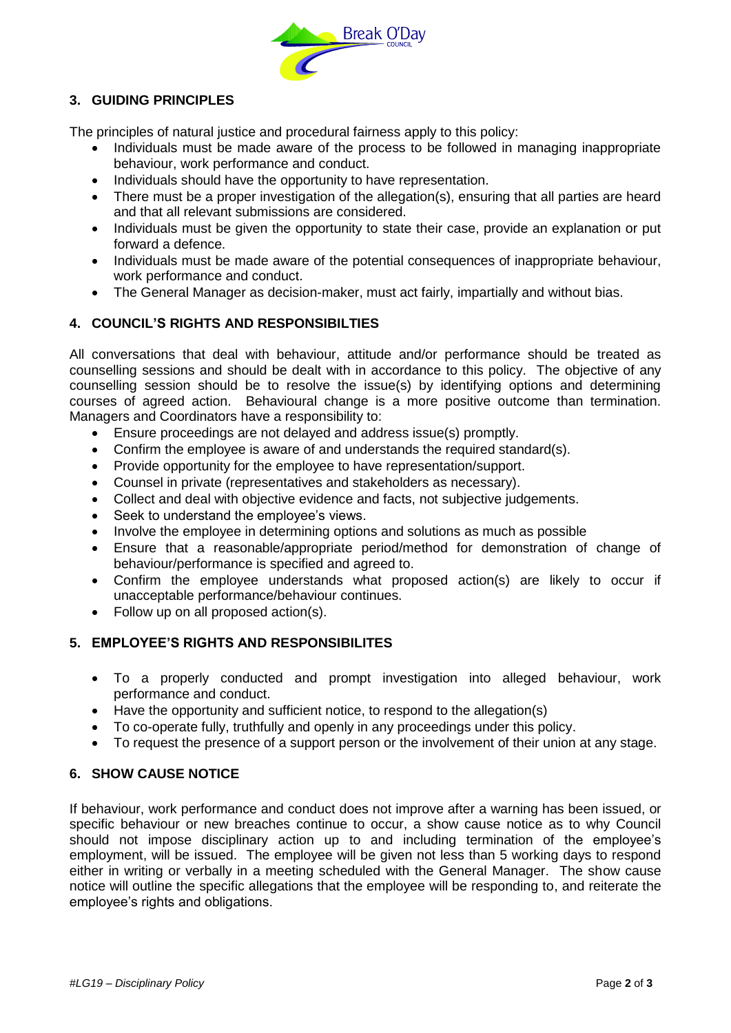

## **3. GUIDING PRINCIPLES**

The principles of natural justice and procedural fairness apply to this policy:

- Individuals must be made aware of the process to be followed in managing inappropriate behaviour, work performance and conduct.
- Individuals should have the opportunity to have representation.
- There must be a proper investigation of the allegation(s), ensuring that all parties are heard and that all relevant submissions are considered.
- Individuals must be given the opportunity to state their case, provide an explanation or put forward a defence.
- Individuals must be made aware of the potential consequences of inappropriate behaviour, work performance and conduct.
- The General Manager as decision-maker, must act fairly, impartially and without bias.

#### **4. COUNCIL'S RIGHTS AND RESPONSIBILTIES**

All conversations that deal with behaviour, attitude and/or performance should be treated as counselling sessions and should be dealt with in accordance to this policy. The objective of any counselling session should be to resolve the issue(s) by identifying options and determining courses of agreed action. Behavioural change is a more positive outcome than termination. Managers and Coordinators have a responsibility to:

- Ensure proceedings are not delayed and address issue(s) promptly.
- Confirm the employee is aware of and understands the required standard(s).
- Provide opportunity for the employee to have representation/support.
- Counsel in private (representatives and stakeholders as necessary).
- Collect and deal with objective evidence and facts, not subjective judgements.
- Seek to understand the employee's views.
- Involve the employee in determining options and solutions as much as possible
- Ensure that a reasonable/appropriate period/method for demonstration of change of behaviour/performance is specified and agreed to.
- Confirm the employee understands what proposed action(s) are likely to occur if unacceptable performance/behaviour continues.
- Follow up on all proposed action(s).

#### **5. EMPLOYEE'S RIGHTS AND RESPONSIBILITES**

- To a properly conducted and prompt investigation into alleged behaviour, work performance and conduct.
- Have the opportunity and sufficient notice, to respond to the allegation(s)
- To co-operate fully, truthfully and openly in any proceedings under this policy.
- To request the presence of a support person or the involvement of their union at any stage.

#### **6. SHOW CAUSE NOTICE**

If behaviour, work performance and conduct does not improve after a warning has been issued, or specific behaviour or new breaches continue to occur, a show cause notice as to why Council should not impose disciplinary action up to and including termination of the employee's employment, will be issued. The employee will be given not less than 5 working days to respond either in writing or verbally in a meeting scheduled with the General Manager. The show cause notice will outline the specific allegations that the employee will be responding to, and reiterate the employee's rights and obligations.